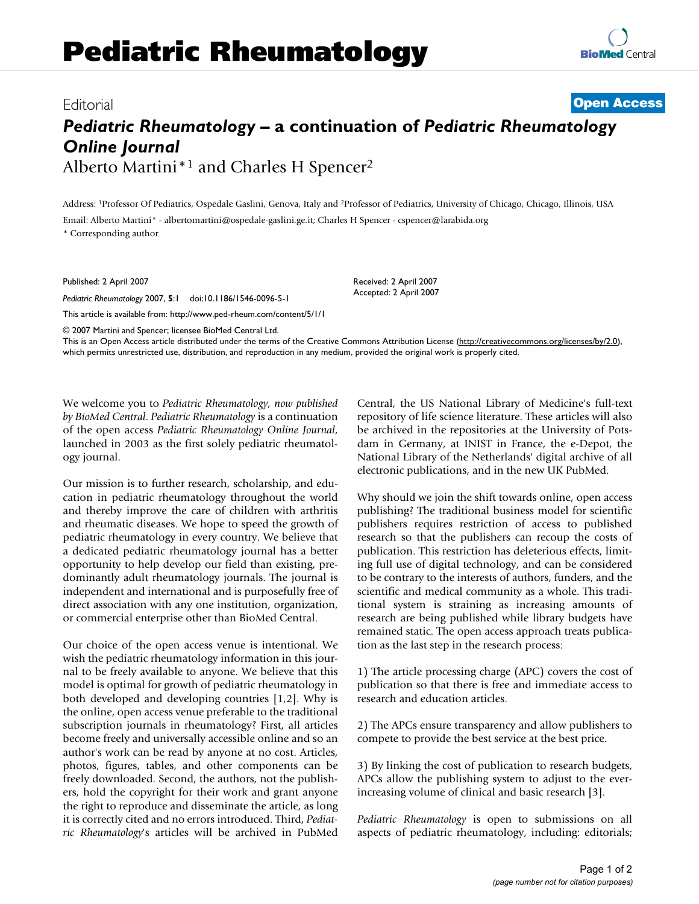## Editorial **[Open Access](http://www.biomedcentral.com/info/about/charter/)**

## *Pediatric Rheumatology* **– a continuation of** *Pediatric Rheumatology Online Journal* Alberto Martini\*1 and Charles H Spencer2

Address: 1Professor Of Pediatrics, Ospedale Gaslini, Genova, Italy and 2Professor of Pediatrics, University of Chicago, Chicago, Illinois, USA

Email: Alberto Martini\* - albertomartini@ospedale-gaslini.ge.it; Charles H Spencer - cspencer@larabida.org

\* Corresponding author

Published: 2 April 2007

*Pediatric Rheumatology* 2007, **5**:1 doi:10.1186/1546-0096-5-1

[This article is available from: http://www.ped-rheum.com/content/5/1/1](http://www.ped-rheum.com/content/5/1/1)

© 2007 Martini and Spencer; licensee BioMed Central Ltd.

This is an Open Access article distributed under the terms of the Creative Commons Attribution License [\(http://creativecommons.org/licenses/by/2.0\)](http://creativecommons.org/licenses/by/2.0), which permits unrestricted use, distribution, and reproduction in any medium, provided the original work is properly cited.

Received: 2 April 2007 Accepted: 2 April 2007

We welcome you to *Pediatric Rheumatology, now published by BioMed Central*. *Pediatric Rheumatology* is a continuation of the open access *Pediatric Rheumatology Online Journal*, launched in 2003 as the first solely pediatric rheumatology journal.

Our mission is to further research, scholarship, and education in pediatric rheumatology throughout the world and thereby improve the care of children with arthritis and rheumatic diseases. We hope to speed the growth of pediatric rheumatology in every country. We believe that a dedicated pediatric rheumatology journal has a better opportunity to help develop our field than existing, predominantly adult rheumatology journals. The journal is independent and international and is purposefully free of direct association with any one institution, organization, or commercial enterprise other than BioMed Central.

Our choice of the open access venue is intentional. We wish the pediatric rheumatology information in this journal to be freely available to anyone. We believe that this model is optimal for growth of pediatric rheumatology in both developed and developing countries [1,2]. Why is the online, open access venue preferable to the traditional subscription journals in rheumatology? First, all articles become freely and universally accessible online and so an author's work can be read by anyone at no cost. Articles, photos, figures, tables, and other components can be freely downloaded. Second, the authors, not the publishers, hold the copyright for their work and grant anyone the right to reproduce and disseminate the article, as long it is correctly cited and no errors introduced. Third, *Pediatric Rheumatology*'s articles will be archived in PubMed Central, the US National Library of Medicine's full-text repository of life science literature. These articles will also be archived in the repositories at the University of Potsdam in Germany, at INIST in France, the e-Depot, the National Library of the Netherlands' digital archive of all electronic publications, and in the new UK PubMed.

Why should we join the shift towards online, open access publishing? The traditional business model for scientific publishers requires restriction of access to published research so that the publishers can recoup the costs of publication. This restriction has deleterious effects, limiting full use of digital technology, and can be considered to be contrary to the interests of authors, funders, and the scientific and medical community as a whole. This traditional system is straining as increasing amounts of research are being published while library budgets have remained static. The open access approach treats publication as the last step in the research process:

1) The article processing charge (APC) covers the cost of publication so that there is free and immediate access to research and education articles.

2) The APCs ensure transparency and allow publishers to compete to provide the best service at the best price.

3) By linking the cost of publication to research budgets, APCs allow the publishing system to adjust to the everincreasing volume of clinical and basic research [3].

*Pediatric Rheumatology* is open to submissions on all aspects of pediatric rheumatology, including: editorials;